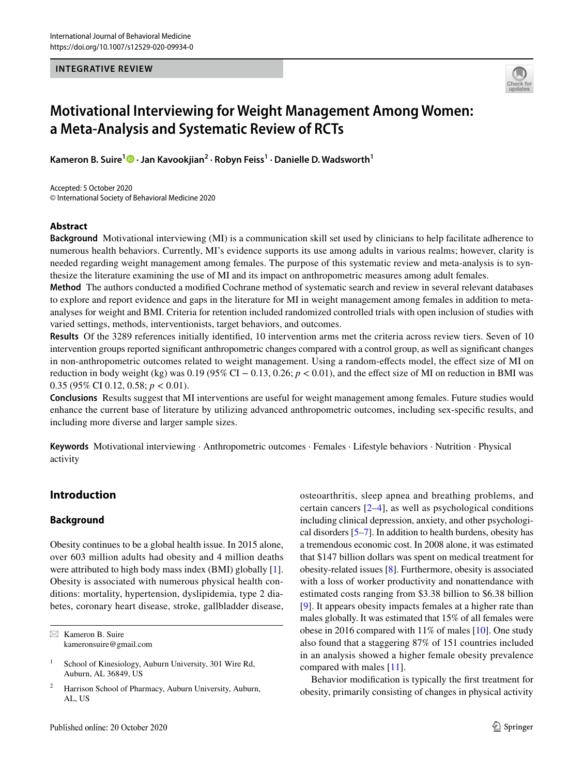### **INTEGRATIVE REVIEW**



# **Motivational Interviewing for Weight Management Among Women: a Meta‑Analysis and Systematic Review of RCTs**

**Kameron B. Suire1 · Jan Kavookjian2 · Robyn Feiss1 · Danielle D. Wadsworth1**

Accepted: 5 October 2020 © International Society of Behavioral Medicine 2020

### **Abstract**

**Background** Motivational interviewing (MI) is a communication skill set used by clinicians to help facilitate adherence to numerous health behaviors. Currently, MI's evidence supports its use among adults in various realms; however, clarity is needed regarding weight management among females. The purpose of this systematic review and meta-analysis is to synthesize the literature examining the use of MI and its impact on anthropometric measures among adult females.

**Method** The authors conducted a modifed Cochrane method of systematic search and review in several relevant databases to explore and report evidence and gaps in the literature for MI in weight management among females in addition to metaanalyses for weight and BMI. Criteria for retention included randomized controlled trials with open inclusion of studies with varied settings, methods, interventionists, target behaviors, and outcomes.

**Results** Of the 3289 references initially identifed, 10 intervention arms met the criteria across review tiers. Seven of 10 intervention groups reported signifcant anthropometric changes compared with a control group, as well as signifcant changes in non-anthropometric outcomes related to weight management. Using a random-efects model, the efect size of MI on reduction in body weight (kg) was  $0.19$  (95% CI – 0.13, 0.26;  $p < 0.01$ ), and the effect size of MI on reduction in BMI was 0.35 (95% CI 0.12, 0.58; *p* < 0.01).

**Conclusions** Results suggest that MI interventions are useful for weight management among females. Future studies would enhance the current base of literature by utilizing advanced anthropometric outcomes, including sex-specifc results, and including more diverse and larger sample sizes.

**Keywords** Motivational interviewing · Anthropometric outcomes · Females · Lifestyle behaviors · Nutrition · Physical activity

# **Introduction**

### **Background**

Obesity continues to be a global health issue. In 2015 alone, over 603 million adults had obesity and 4 million deaths were attributed to high body mass index (BMI) globally [\[1](#page-11-0)]. Obesity is associated with numerous physical health conditions: mortality, hypertension, dyslipidemia, type 2 diabetes, coronary heart disease, stroke, gallbladder disease,

osteoarthritis, sleep apnea and breathing problems, and certain cancers [\[2–](#page-11-1)[4\]](#page-12-0), as well as psychological conditions including clinical depression, anxiety, and other psychological disorders [\[5](#page-12-1)[–7](#page-12-2)]. In addition to health burdens, obesity has a tremendous economic cost. In 2008 alone, it was estimated that \$147 billion dollars was spent on medical treatment for obesity-related issues [\[8](#page-12-3)]. Furthermore, obesity is associated with a loss of worker productivity and nonattendance with estimated costs ranging from \$3.38 billion to \$6.38 billion [[9\]](#page-12-4). It appears obesity impacts females at a higher rate than males globally. It was estimated that 15% of all females were obese in 2016 compared with 11% of males [\[10](#page-12-5)]. One study also found that a staggering 87% of 151 countries included in an analysis showed a higher female obesity prevalence compared with males [\[11](#page-12-6)].

Behavior modifcation is typically the frst treatment for obesity, primarily consisting of changes in physical activity

 $\boxtimes$  Kameron B. Suire kameronsuire@gmail.com

<sup>&</sup>lt;sup>1</sup> School of Kinesiology, Auburn University, 301 Wire Rd, Auburn, AL 36849, US

Harrison School of Pharmacy, Auburn University, Auburn, AL, US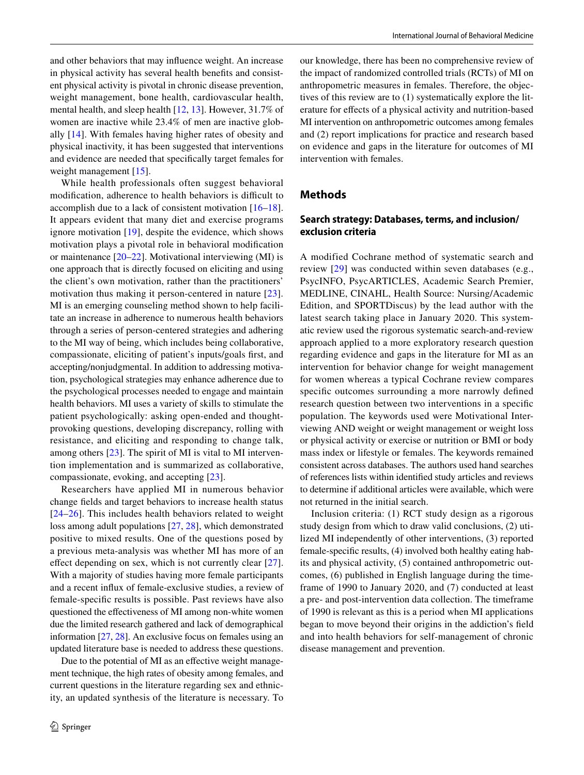and other behaviors that may infuence weight. An increase in physical activity has several health benefts and consistent physical activity is pivotal in chronic disease prevention, weight management, bone health, cardiovascular health, mental health, and sleep health [\[12](#page-12-7), [13\]](#page-12-8). However, 31.7% of women are inactive while 23.4% of men are inactive globally [\[14\]](#page-12-9). With females having higher rates of obesity and physical inactivity, it has been suggested that interventions and evidence are needed that specifcally target females for weight management [[15](#page-12-10)].

While health professionals often suggest behavioral modification, adherence to health behaviors is difficult to accomplish due to a lack of consistent motivation [[16](#page-12-11)[–18](#page-12-12)]. It appears evident that many diet and exercise programs ignore motivation [[19\]](#page-12-13), despite the evidence, which shows motivation plays a pivotal role in behavioral modifcation or maintenance [[20](#page-12-14)[–22](#page-12-15)]. Motivational interviewing (MI) is one approach that is directly focused on eliciting and using the client's own motivation, rather than the practitioners' motivation thus making it person-centered in nature [[23](#page-12-16)]. MI is an emerging counseling method shown to help facilitate an increase in adherence to numerous health behaviors through a series of person-centered strategies and adhering to the MI way of being, which includes being collaborative, compassionate, eliciting of patient's inputs/goals frst, and accepting/nonjudgmental. In addition to addressing motivation, psychological strategies may enhance adherence due to the psychological processes needed to engage and maintain health behaviors. MI uses a variety of skills to stimulate the patient psychologically: asking open-ended and thoughtprovoking questions, developing discrepancy, rolling with resistance, and eliciting and responding to change talk, among others [[23\]](#page-12-16). The spirit of MI is vital to MI intervention implementation and is summarized as collaborative, compassionate, evoking, and accepting [\[23](#page-12-16)].

Researchers have applied MI in numerous behavior change felds and target behaviors to increase health status [\[24–](#page-12-17)[26](#page-12-18)]. This includes health behaviors related to weight loss among adult populations [[27,](#page-12-19) [28\]](#page-12-20), which demonstrated positive to mixed results. One of the questions posed by a previous meta-analysis was whether MI has more of an effect depending on sex, which is not currently clear [\[27](#page-12-19)]. With a majority of studies having more female participants and a recent infux of female-exclusive studies, a review of female-specifc results is possible. Past reviews have also questioned the efectiveness of MI among non-white women due the limited research gathered and lack of demographical information [[27,](#page-12-19) [28](#page-12-20)]. An exclusive focus on females using an updated literature base is needed to address these questions.

Due to the potential of MI as an efective weight management technique, the high rates of obesity among females, and current questions in the literature regarding sex and ethnicity, an updated synthesis of the literature is necessary. To our knowledge, there has been no comprehensive review of the impact of randomized controlled trials (RCTs) of MI on anthropometric measures in females. Therefore, the objectives of this review are to (1) systematically explore the literature for efects of a physical activity and nutrition-based MI intervention on anthropometric outcomes among females and (2) report implications for practice and research based on evidence and gaps in the literature for outcomes of MI intervention with females.

# **Methods**

### **Search strategy: Databases, terms, and inclusion/ exclusion criteria**

A modified Cochrane method of systematic search and review [[29](#page-12-21)] was conducted within seven databases (e.g., PsycINFO, PsycARTICLES, Academic Search Premier, MEDLINE, CINAHL, Health Source: Nursing/Academic Edition, and SPORTDiscus) by the lead author with the latest search taking place in January 2020. This systematic review used the rigorous systematic search-and-review approach applied to a more exploratory research question regarding evidence and gaps in the literature for MI as an intervention for behavior change for weight management for women whereas a typical Cochrane review compares specifc outcomes surrounding a more narrowly defned research question between two interventions in a specifc population. The keywords used were Motivational Interviewing AND weight or weight management or weight loss or physical activity or exercise or nutrition or BMI or body mass index or lifestyle or females. The keywords remained consistent across databases. The authors used hand searches of references lists within identifed study articles and reviews to determine if additional articles were available, which were not returned in the initial search.

Inclusion criteria: (1) RCT study design as a rigorous study design from which to draw valid conclusions, (2) utilized MI independently of other interventions, (3) reported female-specifc results, (4) involved both healthy eating habits and physical activity, (5) contained anthropometric outcomes, (6) published in English language during the timeframe of 1990 to January 2020, and (7) conducted at least a pre- and post-intervention data collection. The timeframe of 1990 is relevant as this is a period when MI applications began to move beyond their origins in the addiction's feld and into health behaviors for self-management of chronic disease management and prevention.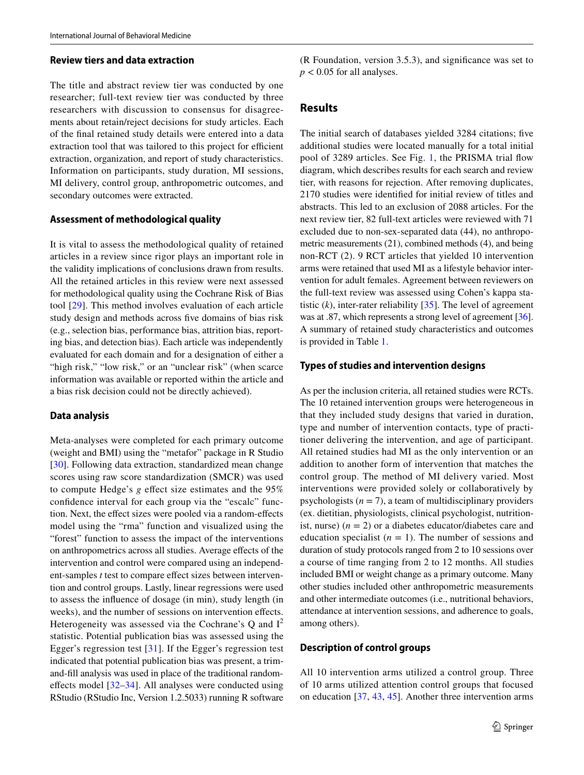### **Review tiers and data extraction**

The title and abstract review tier was conducted by one researcher; full-text review tier was conducted by three researchers with discussion to consensus for disagreements about retain/reject decisions for study articles. Each of the fnal retained study details were entered into a data extraction tool that was tailored to this project for efficient extraction, organization, and report of study characteristics. Information on participants, study duration, MI sessions, MI delivery, control group, anthropometric outcomes, and secondary outcomes were extracted.

### **Assessment of methodological quality**

It is vital to assess the methodological quality of retained articles in a review since rigor plays an important role in the validity implications of conclusions drawn from results. All the retained articles in this review were next assessed for methodological quality using the Cochrane Risk of Bias tool [\[29\]](#page-12-21). This method involves evaluation of each article study design and methods across fve domains of bias risk (e.g., selection bias, performance bias, attrition bias, reporting bias, and detection bias). Each article was independently evaluated for each domain and for a designation of either a "high risk," "low risk," or an "unclear risk" (when scarce information was available or reported within the article and a bias risk decision could not be directly achieved).

### **Data analysis**

Meta-analyses were completed for each primary outcome (weight and BMI) using the "metafor" package in R Studio [\[30\]](#page-12-22). Following data extraction, standardized mean change scores using raw score standardization (SMCR) was used to compute Hedge's *g* efect size estimates and the 95% confdence interval for each group via the "escalc" function. Next, the effect sizes were pooled via a random-effects model using the "rma" function and visualized using the "forest" function to assess the impact of the interventions on anthropometrics across all studies. Average efects of the intervention and control were compared using an independent-samples *t* test to compare effect sizes between intervention and control groups. Lastly, linear regressions were used to assess the infuence of dosage (in min), study length (in weeks), and the number of sessions on intervention effects. Heterogeneity was assessed via the Cochrane's  $Q$  and  $I^2$ statistic. Potential publication bias was assessed using the Egger's regression test [[31](#page-12-23)]. If the Egger's regression test indicated that potential publication bias was present, a trimand-fll analysis was used in place of the traditional random-effects model [\[32](#page-12-24)–[34\]](#page-12-25). All analyses were conducted using RStudio (RStudio Inc, Version 1.2.5033) running R software (R Foundation, version 3.5.3), and signifcance was set to  $p < 0.05$  for all analyses.

### **Results**

The initial search of databases yielded 3284 citations; fve additional studies were located manually for a total initial pool of 3289 articles. See Fig. [1,](#page-3-0) the PRISMA trial fow diagram, which describes results for each search and review tier, with reasons for rejection. After removing duplicates, 2170 studies were identifed for initial review of titles and abstracts. This led to an exclusion of 2088 articles. For the next review tier, 82 full-text articles were reviewed with 71 excluded due to non-sex-separated data (44), no anthropometric measurements (21), combined methods (4), and being non-RCT (2). 9 RCT articles that yielded 10 intervention arms were retained that used MI as a lifestyle behavior intervention for adult females. Agreement between reviewers on the full-text review was assessed using Cohen's kappa statistic  $(k)$ , inter-rater reliability  $[35]$  $[35]$ . The level of agreement was at .87, which represents a strong level of agreement [[36](#page-12-27)]. A summary of retained study characteristics and outcomes is provided in Table [1.](#page-4-0)

### **Types of studies and intervention designs**

As per the inclusion criteria, all retained studies were RCTs. The 10 retained intervention groups were heterogeneous in that they included study designs that varied in duration, type and number of intervention contacts, type of practitioner delivering the intervention, and age of participant. All retained studies had MI as the only intervention or an addition to another form of intervention that matches the control group. The method of MI delivery varied. Most interventions were provided solely or collaboratively by psychologists  $(n = 7)$ , a team of multidisciplinary providers (ex. dietitian, physiologists, clinical psychologist, nutritionist, nurse)  $(n = 2)$  or a diabetes educator/diabetes care and education specialist  $(n = 1)$ . The number of sessions and duration of study protocols ranged from 2 to 10 sessions over a course of time ranging from 2 to 12 months. All studies included BMI or weight change as a primary outcome. Many other studies included other anthropometric measurements and other intermediate outcomes (i.e., nutritional behaviors, attendance at intervention sessions, and adherence to goals, among others).

### **Description of control groups**

All 10 intervention arms utilized a control group. Three of 10 arms utilized attention control groups that focused on education [\[37,](#page-12-28) [43,](#page-12-29) [45](#page-12-30)]. Another three intervention arms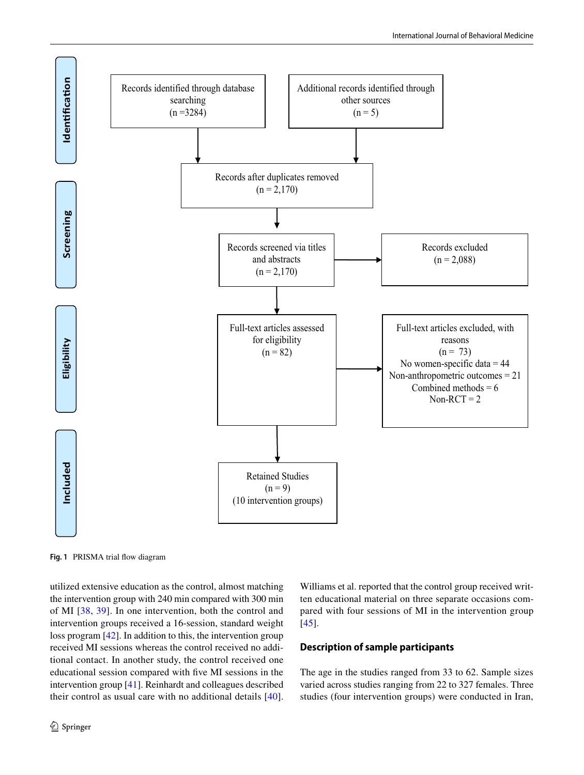

<span id="page-3-0"></span>Fig. 1 PRISMA trial flow diagram

utilized extensive education as the control, almost matching the intervention group with 240 min compared with 300 min of MI [[38](#page-12-31), [39\]](#page-12-32). In one intervention, both the control and intervention groups received a 16-session, standard weight loss program [\[42](#page-12-33)]. In addition to this, the intervention group received MI sessions whereas the control received no additional contact. In another study, the control received one educational session compared with fve MI sessions in the intervention group [\[41](#page-12-34)]. Reinhardt and colleagues described their control as usual care with no additional details [[40](#page-12-35)].

<sup>2</sup> Springer

Williams et al. reported that the control group received written educational material on three separate occasions compared with four sessions of MI in the intervention group [[45\]](#page-12-30).

### **Description of sample participants**

The age in the studies ranged from 33 to 62. Sample sizes varied across studies ranging from 22 to 327 females. Three studies (four intervention groups) were conducted in Iran,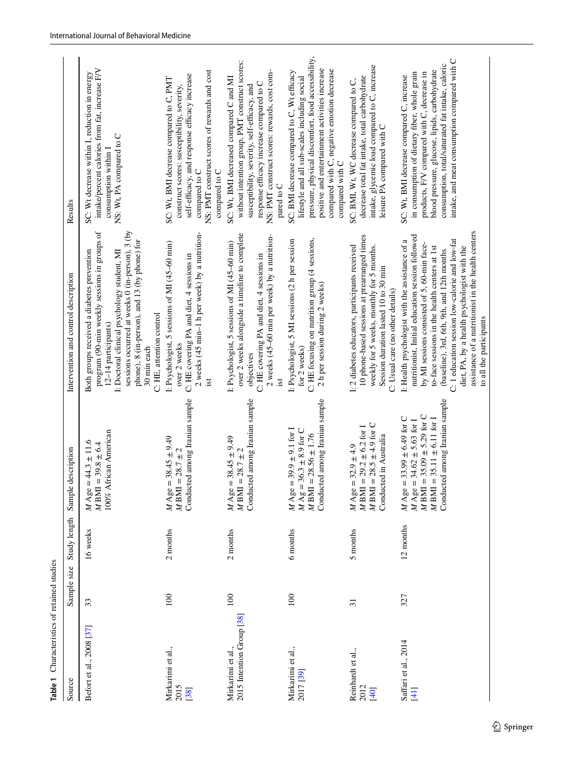<span id="page-4-0"></span>

| Source                                                   | Sample size     | Study length | Sample description                                                                                                                                                   | Intervention and control description                                                                                                                                                                                                                                                                                                                                                                                                | Results                                                                                                                                                                                                                                                                                      |
|----------------------------------------------------------|-----------------|--------------|----------------------------------------------------------------------------------------------------------------------------------------------------------------------|-------------------------------------------------------------------------------------------------------------------------------------------------------------------------------------------------------------------------------------------------------------------------------------------------------------------------------------------------------------------------------------------------------------------------------------|----------------------------------------------------------------------------------------------------------------------------------------------------------------------------------------------------------------------------------------------------------------------------------------------|
| Befort et al., 2008 [37]                                 | 33              | 16 weeks     | 100% African American<br>$M$ Age = 44.3 $\pm$ 11.6<br>$M$ BMI = 39.8 $\pm$ 6.4                                                                                       | sessions occurred at weeks 0 (in-person), 3 (by<br>program (90-min weekly sessions in groups of<br>phone), 8 (in-person), and 13 (by phone) for<br>Both groups received a diabetes prevention<br>I: Doctoral clinical psychology student, MI<br>C: HE, attention control<br>12-14 participants)<br>30 min each                                                                                                                      | intake/percent calories from fat, increase F/V<br>SC: Wt decrease within I, reduction in energy<br>NS: Wt, PA compared to C<br>consumption within I                                                                                                                                          |
| Mirkarimi et al.,<br>2015<br>[38]                        | 100             | 2 months     | Conducted among Iranian sample<br>$M$ Age = 38.45 $\pm$ 9.49<br>$M$ BMI = 28.7 $\pm$ 2                                                                               | 2 weeks (45 min-1 h per week) by a nutrition-<br>I: Psychologist, 5 sessions of MI (45-60 min)<br>C: HE covering PA and diet, 4 sessions in<br>over 2 weeks<br>ist                                                                                                                                                                                                                                                                  | NS: PMT construct scores of rewards and cost<br>self-efficacy, and response efficacy increase<br>SC: Wt, BMI decrease compared to C, PMT<br>construct scores: susceptibility, severity,<br>compared to C<br>compared to C                                                                    |
| 2015 Intention Group <sup>[38]</sup><br>Mirkarimi et al. | 100             | 2 months     | Conducted among Iranian sample<br>$M$ Age = 38.45 $\pm$ 9.49<br>$M$ BMI = 28.7 $\pm$ 2                                                                               | over 2 weeks alongside a timeline to complete<br>2 weeks (45-60 min per week) by a nutrition-<br>1: Psychologist, 5 sessions of MI (45-60 min)<br>C: HE covering PA and diet, 4 sessions in<br>objectives<br>ist                                                                                                                                                                                                                    | without intention group, PMT construct scores:<br>NS: PMT construct scores: rewards, cost com-<br>SC: Wt, BMI decreased compared C and MI<br>response efficacy increase compared to C<br>susceptibility, severity, self-efficacy, and<br>pared to C                                          |
| Mirkarimi et al.,<br>2017 [39]                           | 100             | 6 months     | Conducted among Iranian sample<br>$M$ Age = 39.9 $\pm$ 9.1 for I<br>$= 36.3 \pm 8.9$ for C<br>$M$ BMI = 28.56 $\pm$ 1.76<br>$M$ Ag                                   | C: HE focusing on nutrition group (4 sessions,<br>1: Psychologist, 5 MI sessions (2 h per session<br>2 h per session during 2 weeks)<br>for 2 weeks)                                                                                                                                                                                                                                                                                | pressure, physical discomfort, food accessibility,<br>positive and entertainment activities increase<br>compared with C, negative emotion decrease<br>SC: BMI decrease compared to C, Wt efficacy<br>lifestyle and all sub-scales including social<br>compared with C                        |
| Reinhardt et al.,<br>2012<br>[40]                        | $\overline{31}$ | 5 months     | $M$ BMI = 28.5 $\pm$ 4.9 for C<br>$M$ BMI = 29.2 $\pm$ 6.2 for I<br>Conducted in Australia<br>$M$ Age = 32.9 $\pm$ 4.9                                               | 10 phone-based sessions at prearranged times<br>I: 2 diabetes educators, participants received<br>weekly for 5 weeks, monthly for 5 months.<br>Session duration lasted 10 to 30 min<br>C: Usual care (no other details)                                                                                                                                                                                                             | intake, glycemic load compared to C, increase<br>decrease total fat intake, total carbohydrate<br>SC: BMI, Wt, WC decrease compared to C,<br>leisure PA compared with C                                                                                                                      |
| Saffari et al., 2014<br>[41]                             | 327             | 12 months    | Conducted among Iranian sample<br>$M$ BMI = 35.09 $\pm$ 5.29 for C<br>$M$ BMI = 35.11 $\pm$ 6.11 for I<br>$M$ Age = 33.99 ± 6.49 for C<br>M Age = 34.62 ± 5.63 for I | assistance of a nutritionist in the health centers<br>nutritionist, Initial education session followed<br>C: 1 education session low-calorie and low-fat<br>I: Health psychologist with the assistance of a<br>by MI sessions consisted of 5, 60-min face-<br>to-face sessions in the health centers at 1st<br>diet, PA, by a health psychologist with the<br>(baseline), 3rd, 6th, 9th, and 12th months<br>to all the participants | intake, and meat consumption compared with C<br>consumption, total/saturated fat intake, caloric<br>blood pressure, glucose, lipids, carbohydrate<br>products, F/V compared with C, decrease in<br>in consumption of dietary fiber, whole grain<br>SC: Wt, BMI decrease compared C, increase |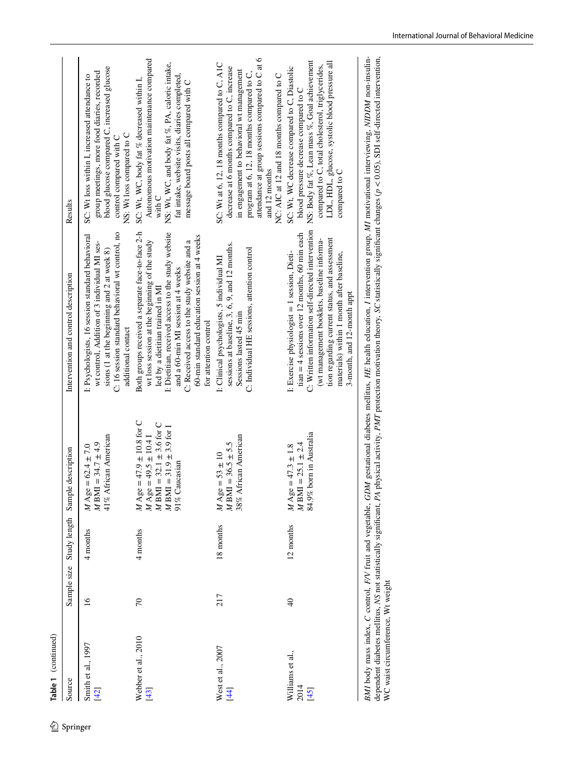| Source                                 | Sample size     | Study length | ple description<br>Samp                                                                                                                | Intervention and control description                                                                                                                                                                                                                                                                                                                        | Results                                                                                                                                                                                                                                                                                                   |
|----------------------------------------|-----------------|--------------|----------------------------------------------------------------------------------------------------------------------------------------|-------------------------------------------------------------------------------------------------------------------------------------------------------------------------------------------------------------------------------------------------------------------------------------------------------------------------------------------------------------|-----------------------------------------------------------------------------------------------------------------------------------------------------------------------------------------------------------------------------------------------------------------------------------------------------------|
| Smith et al., 1997<br>[42]             | $\overline{16}$ | 4 months     | African American<br>$M$ BMI = 34.7 $\pm$ 4.9<br>$M$ Age = 62.4 $\pm$ 7.0<br>$41\%$                                                     | C: 16 session standard behavioral wt control, no<br>I: Psychologists, 16 session standard behavioral<br>wt control, Addition of 3 individual MI ses-<br>sions (1 at the beginning and 2 at week 8)<br>additional contact                                                                                                                                    | blood glucose compared C, increased glucose<br>group meetings, more food diaries, recorded<br>SC: Wt loss within I, increased attendance to<br>NS: Wt loss compared to C<br>control compared with C                                                                                                       |
| Webber et al., 2010<br>$[43]$          | $\overline{70}$ | 4 months     | M Age = 47.9 ± 10.8 for C<br>M Age = 49.5 ± 10.4 I<br>M BMI = 32.1 ± 3.6 for C<br><i>M</i> BMI = 31.9 $\pm$ 3.9 for I<br>91% Caucasian | I: Dietitian, received access to the study website<br>Both groups received a separate face-to-face 2-h<br>60-min standard education session at 4 weeks<br>wt loss session at the beginning of the study<br>C: Received access to the study website and a<br>and a 60-min MI session at 4 weeks<br>led by a dietitian trained in MI<br>for attention control | Autonomous motivation maintenance compared<br>NS: Wt, WC, and body fat %, PA, caloric intake,<br>fat intake, website visits, diaries completed,<br>SC: Wt, WC, body fat % decreased within I,<br>message board posts all compared with C<br>with C                                                        |
| West et al., 2007<br>$\left[44\right]$ | 217             | 18 months    | African American<br>$M$ BMI = 36.5 $\pm$ 5.5<br>$M$ Age = 53 $\pm$ 10<br>38%                                                           | sessions at baseline, 3, 6, 9, and 12 months.<br>C: Individual HE sessions, attention control<br>I: Clinical psychologists, 5 individual MI<br>Sessions lasted 45 min                                                                                                                                                                                       | attendance at group sessions compared to C at 6<br>SC: Wt at 6, 12, 18 months compared to C, A1C<br>decrease at 6 months compared to C, increase<br>in engagement to behavioral wt management<br>program at 6, 12, 18 months compared to C,<br>NC: AIC at 12 and 18 months compared to C<br>and 12 months |
| Williams et al.,<br>2014<br>[45]       | $\overline{40}$ | 12 months    | 84.9% born in Australia<br>$M$ BMI = 25.1 $\pm$ 2.4<br>$M$ Age = 47.3 $\pm$ 1.8                                                        | C: Written information self-directed intervention<br>$tan = 4$ sessions over 12 months, 60 min each<br>tion regarding current status, and assessment<br>(wt management booklets, baseline informa-<br>I: Exercise physiologist = 1 session, Dieti-<br>materials) within 1 month after baseline,<br>3-month, and 12-month appt                               | NS: Body fat %, Lean mass %, Goal achievement<br>LDL, HDL, glucose, systolic blood pressure all<br>compared to C, total cholesterol, triglycerides,<br>SC: Wt, WC decrease compared to C, Diastolic<br>blood pressure decrease compared to C<br>compared to C                                             |

BMI body mass index, C control, F/V fruit and vegetable, GDM gestational diabetes mellitus, HE health education, I intervention group, MI motivational interviewing, NIDDM non-insulin-<br>dependent diabetes mellitus, NS not st dependent diabetes mellitus, NS not statistically significant, PA physical activity, PMT protection motivation theory, SC statistically significant changes (p < 0.05), SDI self-directed intervention, BMI body mass index, C control, F/V fruit and vegetable, GDM gestational diabetes mellitus, HE health education, I intervention group, MI motivational interviewing, NIDDM non-insulin-WC waist circumference, Wt weight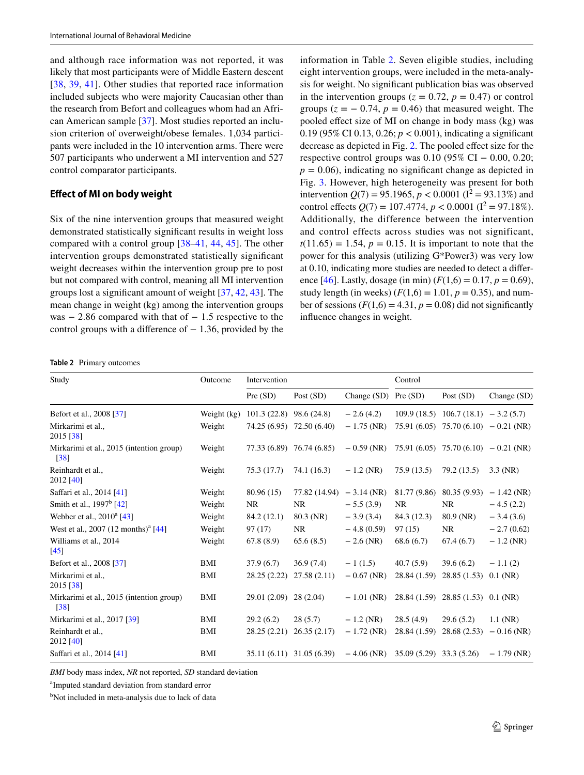and although race information was not reported, it was likely that most participants were of Middle Eastern descent [\[38,](#page-12-31) [39,](#page-12-32) [41\]](#page-12-34). Other studies that reported race information included subjects who were majority Caucasian other than the research from Befort and colleagues whom had an African American sample [[37\]](#page-12-28). Most studies reported an inclusion criterion of overweight/obese females. 1,034 participants were included in the 10 intervention arms. There were 507 participants who underwent a MI intervention and 527 control comparator participants.

### **Efect of MI on body weight**

Six of the nine intervention groups that measured weight demonstrated statistically signifcant results in weight loss compared with a control group [\[38](#page-12-31)[–41,](#page-12-34) [44](#page-12-36), [45\]](#page-12-30). The other intervention groups demonstrated statistically signifcant weight decreases within the intervention group pre to post but not compared with control, meaning all MI intervention groups lost a signifcant amount of weight [\[37](#page-12-28), [42](#page-12-33), [43](#page-12-29)]. The mean change in weight (kg) among the intervention groups was  $-2.86$  compared with that of  $-1.5$  respective to the control groups with a difference of  $-1.36$ , provided by the information in Table [2](#page-6-0). Seven eligible studies, including eight intervention groups, were included in the meta-analysis for weight. No signifcant publication bias was observed in the intervention groups ( $z = 0.72$ ,  $p = 0.47$ ) or control groups  $(z = -0.74, p = 0.46)$  that measured weight. The pooled efect size of MI on change in body mass (kg) was 0.19 (95% CI 0.13, 0.26; *p* < 0.001), indicating a signifcant decrease as depicted in Fig. [2](#page-7-0). The pooled efect size for the respective control groups was  $0.10$  (95% CI – 0.00, 0.20;  $p = 0.06$ ), indicating no significant change as depicted in Fig. [3.](#page-7-1) However, high heterogeneity was present for both intervention  $Q(7) = 95.1965$ ,  $p < 0.0001$  ( $I^2 = 93.13\%$ ) and control effects  $Q(7) = 107.4774$ ,  $p < 0.0001$  ( $I^2 = 97.18\%$ ). Additionally, the difference between the intervention and control effects across studies was not significant,  $t(11.65) = 1.54, p = 0.15$ . It is important to note that the power for this analysis (utilizing G\*Power3) was very low at 0.10, indicating more studies are needed to detect a difer-ence [\[46](#page-13-0)]. Lastly, dosage (in min)  $(F(1,6) = 0.17, p = 0.69)$ , study length (in weeks)  $(F(1,6) = 1.01, p = 0.35)$ , and number of sessions  $(F(1,6) = 4.31, p = 0.08)$  did not significantly infuence changes in weight.

<span id="page-6-0"></span>**Table 2** Primary outcomes

| Study                                                          | Outcome     | Intervention              |                           |               | Control                    |                                         |              |
|----------------------------------------------------------------|-------------|---------------------------|---------------------------|---------------|----------------------------|-----------------------------------------|--------------|
|                                                                |             | Pre(SD)                   | Post (SD)                 | Change $(SD)$ | Pre(SD)                    | Post $(SD)$                             | Change (SD)  |
| Befort et al., 2008 [37]                                       | Weight (kg) | $101.3(22.8)$ 98.6 (24.8) |                           | $-2.6(4.2)$   |                            | $109.9(18.5)$ $106.7(18.1)$ $-3.2(5.7)$ |              |
| Mirkarimi et al<br>2015 [38]                                   | Weight      |                           | 74.25 (6.95) 72.50 (6.40) | $-1.75$ (NR)  |                            | $75.91(6.05)$ $75.70(6.10)$ $-0.21(NR)$ |              |
| Mirkarimi et al., 2015 (intention group)<br>$\lceil 38 \rceil$ | Weight      |                           | 77.33 (6.89) 76.74 (6.85) | $-0.59$ (NR)  |                            | $75.91(6.05)$ $75.70(6.10)$ $-0.21(NR)$ |              |
| Reinhardt et al.,<br>2012 [40]                                 | Weight      | 75.3 (17.7)               | 74.1 (16.3)               | $-1.2$ (NR)   | 75.9(13.5)                 | 79.2 (13.5)                             | $3.3$ (NR)   |
| Saffari et al., 2014 [41]                                      | Weight      | 80.96(15)                 | 77.82 (14.94)             | $-3.14$ (NR)  | 81.77 (9.86)               | 80.35 (9.93)                            | $-1.42$ (NR) |
| Smith et al., 1997 <sup>b</sup> [42]                           | Weight      | NR.                       | NR.                       | $-5.5(3.9)$   | NR.                        | NR.                                     | $-4.5(2.2)$  |
| Webber et al., $2010^a$ [43]                                   | Weight      | 84.2 (12.1)               | 80.3 (NR)                 | $-3.9(3.4)$   | 84.3 (12.3)                | 80.9 (NR)                               | $-3.4(3.6)$  |
| West et al., 2007 (12 months) <sup>a</sup> [44]                | Weight      | 97(17)                    | <b>NR</b>                 | $-4.8(0.59)$  | 97(15)                     | <b>NR</b>                               | $-2.7(0.62)$ |
| Williams et al., 2014<br>[45]                                  | Weight      | 67.8(8.9)                 | 65.6(8.5)                 | $-2.6$ (NR)   | 68.6(6.7)                  | 67.4(6.7)                               | $-1.2$ (NR)  |
| Befort et al., 2008 [37]                                       | BMI         | 37.9(6.7)                 | 36.9(7.4)                 | $-1(1.5)$     | 40.7(5.9)                  | 39.6(6.2)                               | $-1.1(2)$    |
| Mirkarimi et al.,<br>2015 [38]                                 | BMI         | 28.25 (2.22)              | 27.58(2.11)               | $-0.67$ (NR)  | 28.84 (1.59)               | 28.85 (1.53)                            | $0.1$ (NR)   |
| Mirkarimi et al., 2015 (intention group)<br>$\lceil 38 \rceil$ | BMI         | $29.01(2.09)$ 28 (2.04)   |                           | $-1.01$ (NR)  |                            | 28.84 (1.59) 28.85 (1.53) 0.1 (NR)      |              |
| Mirkarimi et al., 2017 [39]                                    | BMI         | 29.2(6.2)                 | 28(5.7)                   | $-1.2$ (NR)   | 28.5(4.9)                  | 29.6(5.2)                               | $1.1$ (NR)   |
| Reinhardt et al.,<br>2012 [40]                                 | BMI         | 28.25 (2.21)              | 26.35(2.17)               | $-1.72$ (NR)  | 28.84 (1.59)               | 28.68 (2.53)                            | $-0.16$ (NR) |
| Saffari et al., 2014 [41]                                      | BMI         | 35.11 (6.11)              | 31.05(6.39)               | $-4.06$ (NR)  | $35.09(5.29)$ $33.3(5.26)$ |                                         | $-1.79$ (NR) |

*BMI* body mass index, *NR* not reported, *SD* standard deviation

a Imputed standard deviation from standard error

<sup>b</sup>Not included in meta-analysis due to lack of data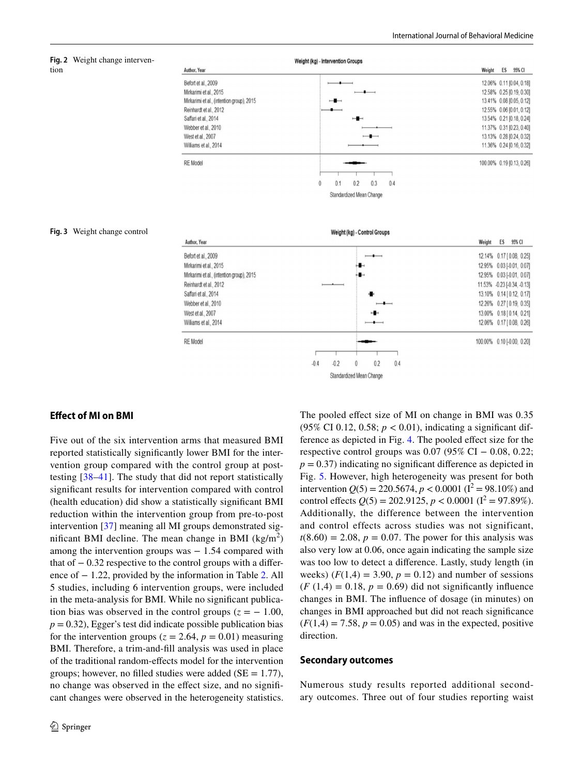#### <span id="page-7-0"></span>**Fig. 2** Weight change intervention

| Weight (kg) - Intervention Groups                    |                                 |    |                                                                                                                                                                                                                                                           |
|------------------------------------------------------|---------------------------------|----|-----------------------------------------------------------------------------------------------------------------------------------------------------------------------------------------------------------------------------------------------------------|
|                                                      | Weight                          | ES | 95% CI                                                                                                                                                                                                                                                    |
| $\overline{\phantom{a}}$<br>$\overline{\phantom{a}}$ |                                 |    |                                                                                                                                                                                                                                                           |
|                                                      |                                 |    |                                                                                                                                                                                                                                                           |
|                                                      |                                 |    |                                                                                                                                                                                                                                                           |
| 0<br>Standardized Mean Change                        |                                 |    |                                                                                                                                                                                                                                                           |
|                                                      | $-$<br>0.4<br>0.2<br>0.3<br>0.1 |    | 12.06% 0.11 [0.04, 0.18]<br>12.58% 0.25 [0.19, 0.30]<br>13.41% 0.08 [0.05, 0.12]<br>12.55% 0.06 [0.01, 0.12]<br>13.54% 0.21 [0.18, 0.24]<br>11.37% 0.31 [0.23, 0.40]<br>13.13% 0.28 [0.24, 0.32]<br>11.36% 0.24 [0.16, 0.32]<br>100.00% 0.19 [0.13, 0.26] |

#### <span id="page-7-1"></span>**Fig. 3** Weight change control

|                                           | Weight (kg) - Control Groups        |        |                             |
|-------------------------------------------|-------------------------------------|--------|-----------------------------|
| Author, Year                              |                                     | Weight | ES<br>95% CI                |
| Befort et al., 2009                       |                                     |        | 12.14% 0.17 [0.08, 0.25]    |
| Mirkarimi et al., 2015                    | ਚ⊢                                  |        | 12.95% 0.03 [-0.01, 0.07]   |
| Mirkarimi et al., (intention group), 2015 | ÷۳                                  |        | 12.95% 0.03 [-0.01, 0.07]   |
| Reinhardt et al., 2012                    |                                     |        | 11.53% -0.23 [-0.34, -0.13] |
| Saffari et al., 2014                      |                                     |        | 13.10% 0.14 [0.12, 0.17]    |
| Webber et al., 2010                       | --                                  |        | 12.26% 0.27 [0.19, 0.35]    |
| West et al., 2007                         | ⊶                                   |        | 13.00% 0.18 [0.14, 0.21]    |
| Williams et al., 2014                     | $\overline{\phantom{0}}$            |        | 12.06% 0.17 [0.08, 0.26]    |
| <b>RE</b> Model                           |                                     |        | 100.00% 0.10 [-0.00, 0.20]  |
|                                           |                                     |        |                             |
|                                           | 0.4<br>$-0.2$<br>$-0.4$<br>0.2<br>0 |        |                             |
|                                           | Standardized Mean Change            |        |                             |

### **Efect of MI on BMI**

Five out of the six intervention arms that measured BMI reported statistically signifcantly lower BMI for the intervention group compared with the control group at posttesting [[38](#page-12-31)[–41\]](#page-12-34). The study that did not report statistically signifcant results for intervention compared with control (health education) did show a statistically signifcant BMI reduction within the intervention group from pre-to-post intervention [[37\]](#page-12-28) meaning all MI groups demonstrated significant BMI decline. The mean change in BMI  $(kg/m<sup>2</sup>)$ among the intervention groups was  $-1.54$  compared with that of  $-0.32$  respective to the control groups with a difference of − 1.22, provided by the information in Table [2](#page-6-0). All 5 studies, including 6 intervention groups, were included in the meta-analysis for BMI. While no signifcant publication bias was observed in the control groups  $(z = -1.00,$  $p = 0.32$ ), Egger's test did indicate possible publication bias for the intervention groups ( $z = 2.64$ ,  $p = 0.01$ ) measuring BMI. Therefore, a trim-and-fll analysis was used in place of the traditional random-efects model for the intervention groups; however, no filled studies were added ( $SE = 1.77$ ), no change was observed in the efect size, and no signifcant changes were observed in the heterogeneity statistics.

The pooled efect size of MI on change in BMI was 0.35 (95% CI 0.12, 0.58; *p* < 0.01), indicating a signifcant difference as depicted in Fig. [4](#page-8-0). The pooled efect size for the respective control groups was  $0.07$  (95% CI – 0.08, 0.22;  $p = 0.37$ ) indicating no significant difference as depicted in Fig. [5.](#page-8-1) However, high heterogeneity was present for both intervention  $Q(5) = 220.5674$ ,  $p < 0.0001$  ( $I^2 = 98.10\%$ ) and control effects  $Q(5) = 202.9125$ ,  $p < 0.0001$  ( $I^2 = 97.89\%$ ). Additionally, the difference between the intervention and control effects across studies was not significant,  $t(8.60) = 2.08$ ,  $p = 0.07$ . The power for this analysis was also very low at 0.06, once again indicating the sample size was too low to detect a diference. Lastly, study length (in weeks)  $(F(1,4) = 3.90, p = 0.12)$  and number of sessions  $(F(1,4) = 0.18, p = 0.69)$  did not significantly influence changes in BMI. The infuence of dosage (in minutes) on changes in BMI approached but did not reach signifcance  $(F(1,4) = 7.58, p = 0.05)$  and was in the expected, positive direction.

### **Secondary outcomes**

Numerous study results reported additional secondary outcomes. Three out of four studies reporting waist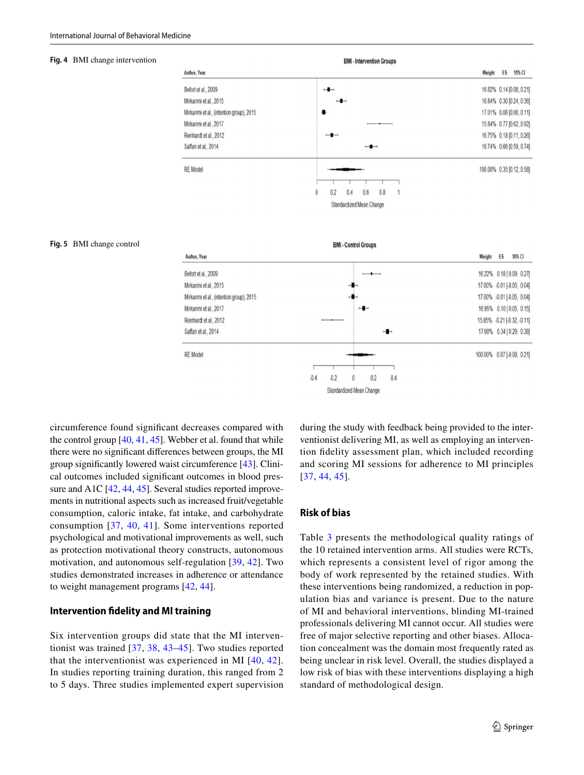#### <span id="page-8-0"></span>**Fig. 4** BMI change intervention

|                                               | <b>BMI - Intervention Groups</b>                     |                           |                                                      |
|-----------------------------------------------|------------------------------------------------------|---------------------------|------------------------------------------------------|
| Author, Year                                  |                                                      | Weight<br>ES              | 95% CI                                               |
| Befort et al., 2009<br>Mirkarimi et al., 2015 | $\overline{\phantom{a}}$<br>$\overline{\phantom{a}}$ |                           | 16.82% 0.14 [0.08, 0.21]<br>16.84% 0.30 [0.24, 0.36] |
| Mirkarimi et al., (intention group), 2015     | ٠                                                    |                           | 17.01% 0.08 [0.06, 0.11]                             |
| Mirkarimi et al., 2017                        |                                                      |                           | 15.84% 0.77 [0.62, 0.92]                             |
| Reinhardt et al., 2012                        | $\overline{\phantom{a}}$                             |                           | 16.75% 0.18 [0.11, 0.26]                             |
| Saffari et al., 2014                          | $\overline{\phantom{a}}$                             |                           | 16.74% 0.66 [0.59, 0.74]                             |
| <b>RE</b> Model                               |                                                      | 100.00% 0.35 [0.12, 0.58] |                                                      |
|                                               |                                                      |                           |                                                      |
|                                               | 0<br>0.2<br>0.4<br>0.6<br>0.8<br>1                   |                           |                                                      |
|                                               | Standardized Mean Change                             |                           |                                                      |

#### <span id="page-8-1"></span>**Fig. 5** BMI change control

|                                           |                  | mill and in all alamba   |        |                             |
|-------------------------------------------|------------------|--------------------------|--------|-----------------------------|
| Author, Year                              |                  |                          | Weight | 95% CI<br>ES                |
| Befort et al., 2009                       |                  |                          |        | 16.22% 0.18 [0.09, 0.27]    |
| Mirkarimi et al., 2015                    | ⊶                |                          |        | 17.00% -0.01 [-0.05, 0.04]  |
|                                           |                  | н                        |        |                             |
| Mirkarimi et al., (intention group), 2015 | н                |                          |        | 17.00% -0.01 [-0.05, 0.04]  |
| Mirkarimi et al., 2017                    |                  | ⊶                        |        | 16.95% 0.10 [0.05, 0.15]    |
| Reinhardt et al., 2012                    |                  |                          |        | 15.85% -0.21 [-0.32, -0.11] |
| Saffari et al., 2014                      |                  | +                        |        | 17.00% 0.34 [0.29, 0.38]    |
| <b>RE</b> Model                           |                  |                          |        | 100.00% 0.07 [-0.08, 0.21]  |
|                                           |                  |                          |        |                             |
|                                           | $-0.2$<br>$-0.4$ | 0<br>0.2<br>0.4          |        |                             |
|                                           |                  | Standardized Mean Change |        |                             |

**BML Control Groups** 

circumference found signifcant decreases compared with the control group [\[40](#page-12-35), [41,](#page-12-34) [45](#page-12-30)]. Webber et al. found that while there were no signifcant diferences between groups, the MI group signifcantly lowered waist circumference [[43\]](#page-12-29). Clinical outcomes included signifcant outcomes in blood pres-sure and A1C [\[42](#page-12-33), [44,](#page-12-36) [45](#page-12-30)]. Several studies reported improvements in nutritional aspects such as increased fruit/vegetable consumption, caloric intake, fat intake, and carbohydrate consumption [[37](#page-12-28), [40](#page-12-35), [41](#page-12-34)]. Some interventions reported psychological and motivational improvements as well, such as protection motivational theory constructs, autonomous motivation, and autonomous self-regulation [[39,](#page-12-32) [42\]](#page-12-33). Two studies demonstrated increases in adherence or attendance to weight management programs [[42](#page-12-33), [44](#page-12-36)].

### **Intervention fdelity and MI training**

Six intervention groups did state that the MI interventionist was trained [\[37,](#page-12-28) [38,](#page-12-31) [43–](#page-12-29)[45](#page-12-30)]. Two studies reported that the interventionist was experienced in MI [[40,](#page-12-35) [42](#page-12-33)]. In studies reporting training duration, this ranged from 2 to 5 days. Three studies implemented expert supervision during the study with feedback being provided to the interventionist delivering MI, as well as employing an intervention fdelity assessment plan, which included recording and scoring MI sessions for adherence to MI principles [[37](#page-12-28), [44,](#page-12-36) [45](#page-12-30)].

### **Risk of bias**

Table [3](#page-9-0) presents the methodological quality ratings of the 10 retained intervention arms. All studies were RCTs, which represents a consistent level of rigor among the body of work represented by the retained studies. With these interventions being randomized, a reduction in population bias and variance is present. Due to the nature of MI and behavioral interventions, blinding MI-trained professionals delivering MI cannot occur. All studies were free of major selective reporting and other biases. Allocation concealment was the domain most frequently rated as being unclear in risk level. Overall, the studies displayed a low risk of bias with these interventions displaying a high standard of methodological design.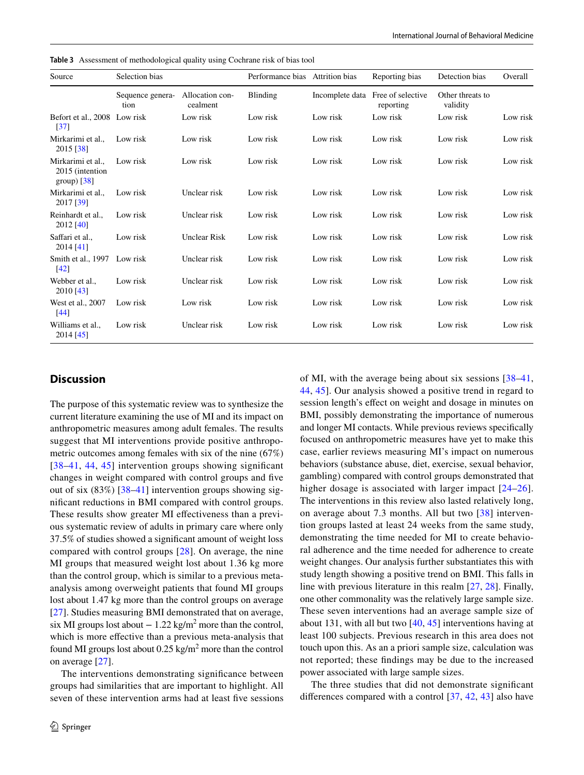| Source                                                  | Selection bias           |                             | Performance bias | <b>Attrition</b> bias | Reporting bias                                 | Detection bias               | Overall  |
|---------------------------------------------------------|--------------------------|-----------------------------|------------------|-----------------------|------------------------------------------------|------------------------------|----------|
|                                                         | Sequence genera-<br>tion | Allocation con-<br>cealment | <b>Blinding</b>  |                       | Incomplete data Free of selective<br>reporting | Other threats to<br>validity |          |
| Befort et al., 2008 Low risk<br>$\left[37\right]$       |                          | Low risk                    | Low risk         | Low risk              | Low risk                                       | Low risk                     | Low risk |
| Mirkarimi et al.,<br>2015 [38]                          | Low risk                 | Low risk                    | Low risk         | Low risk              | Low risk                                       | Low risk                     | Low risk |
| Mirkarimi et al<br>2015 (intention<br>$\rm{group}$ [38] | Low risk                 | Low risk                    | Low risk         | Low risk              | Low risk                                       | Low risk                     | Low risk |
| Mirkarimi et al<br>2017 [39]                            | Low risk                 | Unclear risk                | Low risk         | Low risk              | Low risk                                       | Low risk                     | Low risk |
| Reinhardt et al<br>2012 [40]                            | Low risk                 | Unclear risk                | Low risk         | Low risk              | Low risk                                       | Low risk                     | Low risk |
| Saffari et al<br>2014 [41]                              | Low risk                 | Unclear Risk                | Low risk         | Low risk              | Low risk                                       | Low risk                     | Low risk |
| Smith et al., 1997<br>$[42]$                            | Low risk                 | Unclear risk                | Low risk         | Low risk              | Low risk                                       | Low risk                     | Low risk |
| Webber et al.,<br>2010 [43]                             | Low risk                 | Unclear risk                | Low risk         | Low risk              | Low risk                                       | Low risk                     | Low risk |
| West et al., 2007<br>$[44]$                             | Low risk                 | Low risk                    | Low risk         | Low risk              | Low risk                                       | Low risk                     | Low risk |
| Williams et al.,<br>$2014$ [45]                         | Low risk                 | Unclear risk                | Low risk         | Low risk              | Low risk                                       | Low risk                     | Low risk |

<span id="page-9-0"></span>**Table 3** Assessment of methodological quality using Cochrane risk of bias tool

# **Discussion**

The purpose of this systematic review was to synthesize the current literature examining the use of MI and its impact on anthropometric measures among adult females. The results suggest that MI interventions provide positive anthropometric outcomes among females with six of the nine (67%) [[38–](#page-12-31)[41,](#page-12-34) [44](#page-12-36), [45\]](#page-12-30) intervention groups showing significant changes in weight compared with control groups and fve out of six (83%) [\[38](#page-12-31)–[41\]](#page-12-34) intervention groups showing signifcant reductions in BMI compared with control groups. These results show greater MI effectiveness than a previous systematic review of adults in primary care where only 37.5% of studies showed a signifcant amount of weight loss compared with control groups [\[28\]](#page-12-20). On average, the nine MI groups that measured weight lost about 1.36 kg more than the control group, which is similar to a previous metaanalysis among overweight patients that found MI groups lost about 1.47 kg more than the control groups on average [\[27](#page-12-19)]. Studies measuring BMI demonstrated that on average, six MI groups lost about  $-1.22$  kg/m<sup>2</sup> more than the control, which is more effective than a previous meta-analysis that found MI groups lost about  $0.25 \text{ kg/m}^2$  more than the control on average [\[27](#page-12-19)].

The interventions demonstrating signifcance between groups had similarities that are important to highlight. All seven of these intervention arms had at least five sessions of MI, with the average being about six sessions [[38](#page-12-31)[–41,](#page-12-34) [44](#page-12-36), [45](#page-12-30)]. Our analysis showed a positive trend in regard to session length's effect on weight and dosage in minutes on BMI, possibly demonstrating the importance of numerous and longer MI contacts. While previous reviews specifcally focused on anthropometric measures have yet to make this case, earlier reviews measuring MI's impact on numerous behaviors (substance abuse, diet, exercise, sexual behavior, gambling) compared with control groups demonstrated that higher dosage is associated with larger impact  $[24-26]$  $[24-26]$  $[24-26]$ . The interventions in this review also lasted relatively long, on average about 7.3 months. All but two [\[38\]](#page-12-31) intervention groups lasted at least 24 weeks from the same study, demonstrating the time needed for MI to create behavioral adherence and the time needed for adherence to create weight changes. Our analysis further substantiates this with study length showing a positive trend on BMI. This falls in line with previous literature in this realm [\[27,](#page-12-19) [28](#page-12-20)]. Finally, one other commonality was the relatively large sample size. These seven interventions had an average sample size of about 131, with all but two [[40,](#page-12-35) [45](#page-12-30)] interventions having at least 100 subjects. Previous research in this area does not touch upon this. As an a priori sample size, calculation was not reported; these fndings may be due to the increased power associated with large sample sizes.

The three studies that did not demonstrate signifcant diferences compared with a control [\[37](#page-12-28), [42,](#page-12-33) [43](#page-12-29)] also have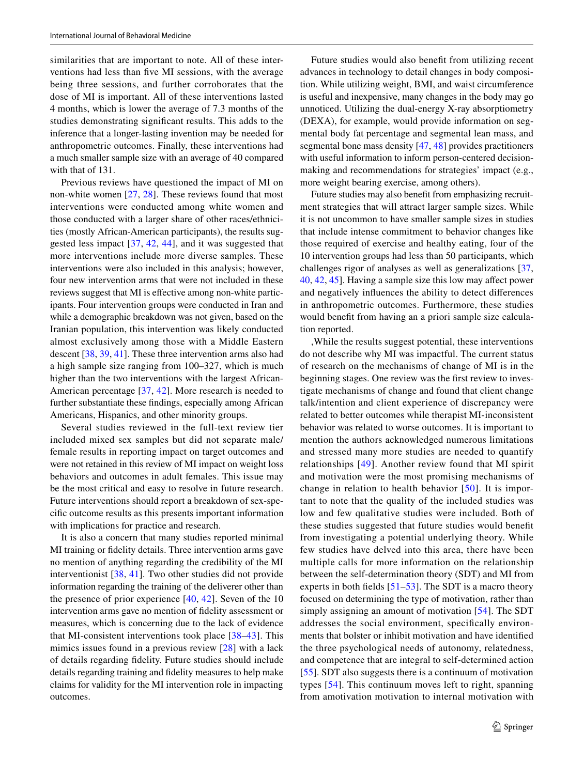similarities that are important to note. All of these interventions had less than fve MI sessions, with the average being three sessions, and further corroborates that the dose of MI is important. All of these interventions lasted 4 months, which is lower the average of 7.3 months of the studies demonstrating signifcant results. This adds to the inference that a longer-lasting invention may be needed for anthropometric outcomes. Finally, these interventions had a much smaller sample size with an average of 40 compared with that of 131.

Previous reviews have questioned the impact of MI on non-white women [\[27,](#page-12-19) [28](#page-12-20)]. These reviews found that most interventions were conducted among white women and those conducted with a larger share of other races/ethnicities (mostly African-American participants), the results suggested less impact [\[37,](#page-12-28) [42,](#page-12-33) [44\]](#page-12-36), and it was suggested that more interventions include more diverse samples. These interventions were also included in this analysis; however, four new intervention arms that were not included in these reviews suggest that MI is efective among non-white participants. Four intervention groups were conducted in Iran and while a demographic breakdown was not given, based on the Iranian population, this intervention was likely conducted almost exclusively among those with a Middle Eastern descent [[38,](#page-12-31) [39,](#page-12-32) [41\]](#page-12-34). These three intervention arms also had a high sample size ranging from 100–327, which is much higher than the two interventions with the largest African-American percentage [\[37](#page-12-28), [42\]](#page-12-33). More research is needed to further substantiate these fndings, especially among African Americans, Hispanics, and other minority groups.

Several studies reviewed in the full-text review tier included mixed sex samples but did not separate male/ female results in reporting impact on target outcomes and were not retained in this review of MI impact on weight loss behaviors and outcomes in adult females. This issue may be the most critical and easy to resolve in future research. Future interventions should report a breakdown of sex-specifc outcome results as this presents important information with implications for practice and research.

It is also a concern that many studies reported minimal MI training or fdelity details. Three intervention arms gave no mention of anything regarding the credibility of the MI interventionist [\[38](#page-12-31), [41](#page-12-34)]. Two other studies did not provide information regarding the training of the deliverer other than the presence of prior experience  $[40, 42]$  $[40, 42]$  $[40, 42]$  $[40, 42]$ . Seven of the 10 intervention arms gave no mention of fdelity assessment or measures, which is concerning due to the lack of evidence that MI-consistent interventions took place [\[38](#page-12-31)–[43\]](#page-12-29). This mimics issues found in a previous review [\[28\]](#page-12-20) with a lack of details regarding fdelity. Future studies should include details regarding training and fdelity measures to help make claims for validity for the MI intervention role in impacting outcomes.

Future studies would also beneft from utilizing recent advances in technology to detail changes in body composition. While utilizing weight, BMI, and waist circumference is useful and inexpensive, many changes in the body may go unnoticed. Utilizing the dual-energy X-ray absorptiometry (DEXA), for example, would provide information on segmental body fat percentage and segmental lean mass, and segmental bone mass density [\[47,](#page-13-1) [48](#page-13-2)] provides practitioners with useful information to inform person-centered decisionmaking and recommendations for strategies' impact (e.g., more weight bearing exercise, among others).

Future studies may also beneft from emphasizing recruitment strategies that will attract larger sample sizes. While it is not uncommon to have smaller sample sizes in studies that include intense commitment to behavior changes like those required of exercise and healthy eating, four of the 10 intervention groups had less than 50 participants, which challenges rigor of analyses as well as generalizations [[37,](#page-12-28) [40](#page-12-35), [42](#page-12-33), [45](#page-12-30)]. Having a sample size this low may afect power and negatively infuences the ability to detect diferences in anthropometric outcomes. Furthermore, these studies would beneft from having an a priori sample size calculation reported.

,While the results suggest potential, these interventions do not describe why MI was impactful. The current status of research on the mechanisms of change of MI is in the beginning stages. One review was the frst review to investigate mechanisms of change and found that client change talk/intention and client experience of discrepancy were related to better outcomes while therapist MI-inconsistent behavior was related to worse outcomes. It is important to mention the authors acknowledged numerous limitations and stressed many more studies are needed to quantify relationships [[49\]](#page-13-3). Another review found that MI spirit and motivation were the most promising mechanisms of change in relation to health behavior [[50\]](#page-13-4). It is important to note that the quality of the included studies was low and few qualitative studies were included. Both of these studies suggested that future studies would beneft from investigating a potential underlying theory. While few studies have delved into this area, there have been multiple calls for more information on the relationship between the self-determination theory (SDT) and MI from experts in both fields  $[51–53]$  $[51–53]$  $[51–53]$ . The SDT is a macro theory focused on determining the type of motivation, rather than simply assigning an amount of motivation [\[54\]](#page-13-7). The SDT addresses the social environment, specifcally environments that bolster or inhibit motivation and have identifed the three psychological needs of autonomy, relatedness, and competence that are integral to self-determined action [[55\]](#page-13-8). SDT also suggests there is a continuum of motivation types [[54](#page-13-7)]. This continuum moves left to right, spanning from amotivation motivation to internal motivation with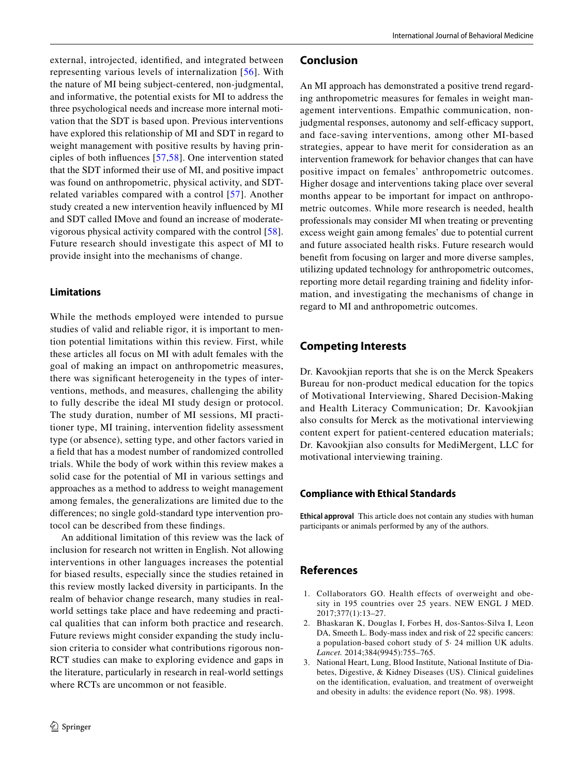external, introjected, identifed, and integrated between representing various levels of internalization [[56](#page-13-9)]. With the nature of MI being subject-centered, non-judgmental, and informative, the potential exists for MI to address the three psychological needs and increase more internal motivation that the SDT is based upon. Previous interventions have explored this relationship of MI and SDT in regard to weight management with positive results by having principles of both infuences [\[57,](#page-13-10)[58\]](#page-13-11). One intervention stated that the SDT informed their use of MI, and positive impact was found on anthropometric, physical activity, and SDTrelated variables compared with a control [[57\]](#page-13-10). Another study created a new intervention heavily infuenced by MI and SDT called IMove and found an increase of moderatevigorous physical activity compared with the control [[58](#page-13-11)]. Future research should investigate this aspect of MI to provide insight into the mechanisms of change.

# **Limitations**

While the methods employed were intended to pursue studies of valid and reliable rigor, it is important to mention potential limitations within this review. First, while these articles all focus on MI with adult females with the goal of making an impact on anthropometric measures, there was signifcant heterogeneity in the types of interventions, methods, and measures, challenging the ability to fully describe the ideal MI study design or protocol. The study duration, number of MI sessions, MI practitioner type, MI training, intervention fdelity assessment type (or absence), setting type, and other factors varied in a feld that has a modest number of randomized controlled trials. While the body of work within this review makes a solid case for the potential of MI in various settings and approaches as a method to address to weight management among females, the generalizations are limited due to the diferences; no single gold-standard type intervention protocol can be described from these fndings.

An additional limitation of this review was the lack of inclusion for research not written in English. Not allowing interventions in other languages increases the potential for biased results, especially since the studies retained in this review mostly lacked diversity in participants. In the realm of behavior change research, many studies in realworld settings take place and have redeeming and practical qualities that can inform both practice and research. Future reviews might consider expanding the study inclusion criteria to consider what contributions rigorous non-RCT studies can make to exploring evidence and gaps in the literature, particularly in research in real-world settings where RCTs are uncommon or not feasible.

### **Conclusion**

An MI approach has demonstrated a positive trend regarding anthropometric measures for females in weight management interventions. Empathic communication, nonjudgmental responses, autonomy and self-efficacy support, and face-saving interventions, among other MI-based strategies, appear to have merit for consideration as an intervention framework for behavior changes that can have positive impact on females' anthropometric outcomes. Higher dosage and interventions taking place over several months appear to be important for impact on anthropometric outcomes. While more research is needed, health professionals may consider MI when treating or preventing excess weight gain among females' due to potential current and future associated health risks. Future research would beneft from focusing on larger and more diverse samples, utilizing updated technology for anthropometric outcomes, reporting more detail regarding training and fdelity information, and investigating the mechanisms of change in regard to MI and anthropometric outcomes.

# **Competing Interests**

Dr. Kavookjian reports that she is on the Merck Speakers Bureau for non-product medical education for the topics of Motivational Interviewing, Shared Decision-Making and Health Literacy Communication; Dr. Kavookjian also consults for Merck as the motivational interviewing content expert for patient-centered education materials; Dr. Kavookjian also consults for MediMergent, LLC for motivational interviewing training.

### **Compliance with Ethical Standards**

**Ethical approval** This article does not contain any studies with human participants or animals performed by any of the authors.

# **References**

- <span id="page-11-0"></span>1. Collaborators GO. Health effects of overweight and obesity in 195 countries over 25 years. NEW ENGL J MED. 2017;377(1):13–27.
- <span id="page-11-1"></span>2. Bhaskaran K, Douglas I, Forbes H, dos-Santos-Silva I, Leon DA, Smeeth L. Body-mass index and risk of 22 specific cancers: a population-based cohort study of 5· 24 million UK adults. *Lancet.* 2014;384(9945):755–765.
- 3. National Heart, Lung, Blood Institute, National Institute of Diabetes, Digestive, & Kidney Diseases (US). Clinical guidelines on the identifcation, evaluation, and treatment of overweight and obesity in adults: the evidence report (No. 98). 1998.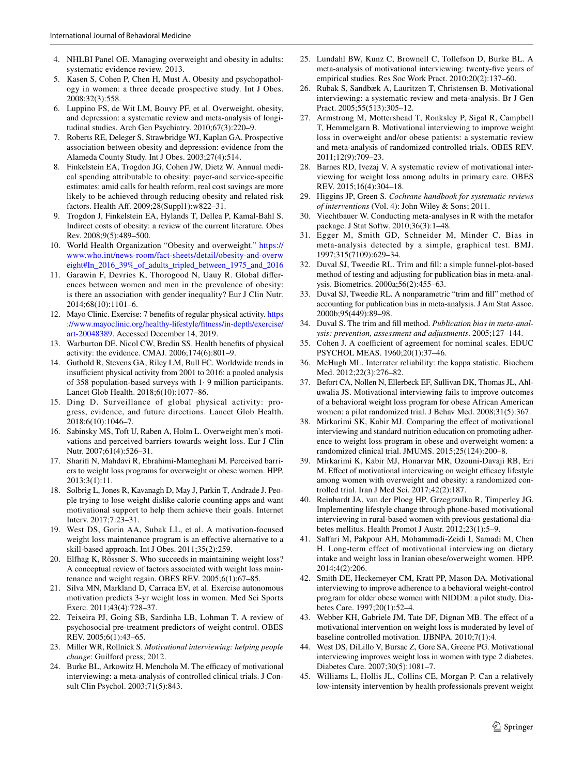- <span id="page-12-0"></span>4. NHLBI Panel OE. Managing overweight and obesity in adults: systematic evidence review. 2013.
- <span id="page-12-1"></span>5. Kasen S, Cohen P, Chen H, Must A. Obesity and psychopathology in women: a three decade prospective study. Int J Obes. 2008;32(3):558.
- 6. Luppino FS, de Wit LM, Bouvy PF, et al. Overweight, obesity, and depression: a systematic review and meta-analysis of longitudinal studies. Arch Gen Psychiatry. 2010;67(3):220–9.
- <span id="page-12-2"></span>7. Roberts RE, Deleger S, Strawbridge WJ, Kaplan GA. Prospective association between obesity and depression: evidence from the Alameda County Study. Int J Obes. 2003;27(4):514.
- <span id="page-12-3"></span>8. Finkelstein EA, Trogdon JG, Cohen JW, Dietz W. Annual medical spending attributable to obesity: payer-and service-specifc estimates: amid calls for health reform, real cost savings are more likely to be achieved through reducing obesity and related risk factors. Health Aff. 2009;28(Suppl1):w822-31.
- <span id="page-12-4"></span>9. Trogdon J, Finkelstein EA, Hylands T, Dellea P, Kamal-Bahl S. Indirect costs of obesity: a review of the current literature. Obes Rev. 2008;9(5):489–500.
- <span id="page-12-5"></span>10. World Health Organization "Obesity and overweight." [https://](https://www.who.int/news-room/fact-sheets/detail/obesity-and-overweight) [www.who.int/news-room/fact-sheets/detail/obesity-and-overw](https://www.who.int/news-room/fact-sheets/detail/obesity-and-overweight) [eight#In\\_2016\\_39%\\_of\\_adults\\_tripled\\_between\\_1975\\_and\\_2016](https://www.who.int/news-room/fact-sheets/detail/obesity-and-overweight)
- <span id="page-12-6"></span>11. Garawin F, Devries K, Thorogood N, Uauy R. Global diferences between women and men in the prevalence of obesity: is there an association with gender inequality? Eur J Clin Nutr. 2014;68(10):1101–6.
- <span id="page-12-7"></span>12. Mayo Clinic. Exercise: 7 benefts of regular physical activity. [https](https://www.mayoclinic.org/healthy-lifestyle/fitness/in-depth/exercise/art-20048389) [://www.mayoclinic.org/healthy-lifestyle/ftness/in-depth/exercise/](https://www.mayoclinic.org/healthy-lifestyle/fitness/in-depth/exercise/art-20048389) [art-20048389.](https://www.mayoclinic.org/healthy-lifestyle/fitness/in-depth/exercise/art-20048389) Accessed December 14, 2019.
- <span id="page-12-8"></span>13. Warburton DE, Nicol CW, Bredin SS. Health benefts of physical activity: the evidence. CMAJ. 2006;174(6):801–9.
- <span id="page-12-9"></span>14. Guthold R, Stevens GA, Riley LM, Bull FC. Worldwide trends in insufficient physical activity from 2001 to 2016: a pooled analysis of 358 population-based surveys with 1· 9 million participants. Lancet Glob Health. 2018;6(10):1077–86.
- <span id="page-12-10"></span>15. Ding D. Surveillance of global physical activity: progress, evidence, and future directions. Lancet Glob Health. 2018;6(10):1046–7.
- <span id="page-12-11"></span>16. Sabinsky MS, Toft U, Raben A, Holm L. Overweight men's motivations and perceived barriers towards weight loss. Eur J Clin Nutr. 2007;61(4):526-31.
- 17. Sharif N, Mahdavi R, Ebrahimi-Mameghani M. Perceived barriers to weight loss programs for overweight or obese women. HPP. 2013;3(1):11.
- <span id="page-12-12"></span>18. Solbrig L, Jones R, Kavanagh D, May J, Parkin T, Andrade J. People trying to lose weight dislike calorie counting apps and want motivational support to help them achieve their goals. Internet Interv. 2017;7:23–31.
- <span id="page-12-13"></span>19. West DS, Gorin AA, Subak LL, et al. A motivation-focused weight loss maintenance program is an efective alternative to a skill-based approach. Int J Obes. 2011;35(2):259.
- <span id="page-12-14"></span>20. Elfhag K, Rössner S. Who succeeds in maintaining weight loss? A conceptual review of factors associated with weight loss maintenance and weight regain. OBES REV. 2005;6(1):67–85.
- 21. Silva MN, Markland D, Carraca EV, et al. Exercise autonomous motivation predicts 3-yr weight loss in women. Med Sci Sports Exerc. 2011;43(4):728–37.
- <span id="page-12-15"></span>22. Teixeira PJ, Going SB, Sardinha LB, Lohman T. A review of psychosocial pre-treatment predictors of weight control. OBES REV. 2005;6(1):43–65.
- <span id="page-12-16"></span>23. Miller WR, Rollnick S. *Motivational interviewing: helping people change*: Guilford press; 2012.
- <span id="page-12-17"></span>24. Burke BL, Arkowitz H, Menchola M. The efficacy of motivational interviewing: a meta-analysis of controlled clinical trials. J Consult Clin Psychol. 2003;71(5):843.
- 25. Lundahl BW, Kunz C, Brownell C, Tollefson D, Burke BL. A meta-analysis of motivational interviewing: twenty-fve years of empirical studies. Res Soc Work Pract. 2010;20(2):137–60.
- <span id="page-12-18"></span>26. Rubak S, Sandbæk A, Lauritzen T, Christensen B. Motivational interviewing: a systematic review and meta-analysis. Br J Gen Pract. 2005;55(513):305–12.
- <span id="page-12-19"></span>27. Armstrong M, Mottershead T, Ronksley P, Sigal R, Campbell T, Hemmelgarn B. Motivational interviewing to improve weight loss in overweight and/or obese patients: a systematic review and meta-analysis of randomized controlled trials. OBES REV. 2011;12(9):709–23.
- <span id="page-12-20"></span>28. Barnes RD, Ivezaj V. A systematic review of motivational interviewing for weight loss among adults in primary care. OBES REV. 2015;16(4):304–18.
- <span id="page-12-21"></span>29. Higgins JP, Green S. *Cochrane handbook for systematic reviews of interventions* (Vol. 4): John Wiley & Sons; 2011.
- <span id="page-12-22"></span>30. Viechtbauer W. Conducting meta-analyses in R with the metafor package. J Stat Softw. 2010;36(3):1–48.
- <span id="page-12-23"></span>31. Egger M, Smith GD, Schneider M, Minder C. Bias in meta-analysis detected by a simple, graphical test. BMJ. 1997;315(7109):629–34.
- <span id="page-12-24"></span>32. Duval SJ, Tweedie RL. Trim and fll: a simple funnel-plot-based method of testing and adjusting for publication bias in meta-analysis. Biometrics. 2000a;56(2):455–63.
- 33. Duval SJ, Tweedie RL. A nonparametric "trim and fll" method of accounting for publication bias in meta-analysis. J Am Stat Assoc. 2000b;95(449):89–98.
- <span id="page-12-25"></span>34. Duval S. The trim and fll method. *Publication bias in meta-analysis: prevention, assessment and adjustments*. 2005;127–144.
- <span id="page-12-26"></span>35. Cohen J. A coefficient of agreement for nominal scales. EDUC PSYCHOL MEAS. 1960;20(1):37–46.
- <span id="page-12-27"></span>36. McHugh ML. Interrater reliability: the kappa statistic. Biochem Med. 2012;22(3):276–82.
- <span id="page-12-28"></span>37. Befort CA, Nollen N, Ellerbeck EF, Sullivan DK, Thomas JL, Ahluwalia JS. Motivational interviewing fails to improve outcomes of a behavioral weight loss program for obese African American women: a pilot randomized trial. J Behav Med. 2008;31(5):367.
- <span id="page-12-31"></span>38. Mirkarimi SK, Kabir MJ. Comparing the efect of motivational interviewing and standard nutrition education on promoting adherence to weight loss program in obese and overweight women: a randomized clinical trial. JMUMS. 2015;25(124):200–8.
- <span id="page-12-32"></span>39. Mirkarimi K, Kabir MJ, Honarvar MR, Ozouni-Davaji RB, Eri M. Effect of motivational interviewing on weight efficacy lifestyle among women with overweight and obesity: a randomized controlled trial. Iran J Med Sci. 2017;42(2):187.
- <span id="page-12-35"></span>40. Reinhardt JA, van der Ploeg HP, Grzegrzulka R, Timperley JG. Implementing lifestyle change through phone-based motivational interviewing in rural-based women with previous gestational diabetes mellitus. Health Promot J Austr. 2012;23(1):5–9.
- <span id="page-12-34"></span>41. Safari M, Pakpour AH, Mohammadi-Zeidi I, Samadi M, Chen H. Long-term effect of motivational interviewing on dietary intake and weight loss in Iranian obese/overweight women. HPP. 2014;4(2):206.
- <span id="page-12-33"></span>42. Smith DE, Heckemeyer CM, Kratt PP, Mason DA. Motivational interviewing to improve adherence to a behavioral weight-control program for older obese women with NIDDM: a pilot study. Diabetes Care. 1997;20(1):52–4.
- <span id="page-12-29"></span>43. Webber KH, Gabriele JM, Tate DF, Dignan MB. The efect of a motivational intervention on weight loss is moderated by level of baseline controlled motivation. IJBNPA. 2010;7(1):4.
- <span id="page-12-36"></span>44. West DS, DiLillo V, Bursac Z, Gore SA, Greene PG. Motivational interviewing improves weight loss in women with type 2 diabetes. Diabetes Care. 2007;30(5):1081–7.
- <span id="page-12-30"></span>45. Williams L, Hollis JL, Collins CE, Morgan P. Can a relatively low-intensity intervention by health professionals prevent weight